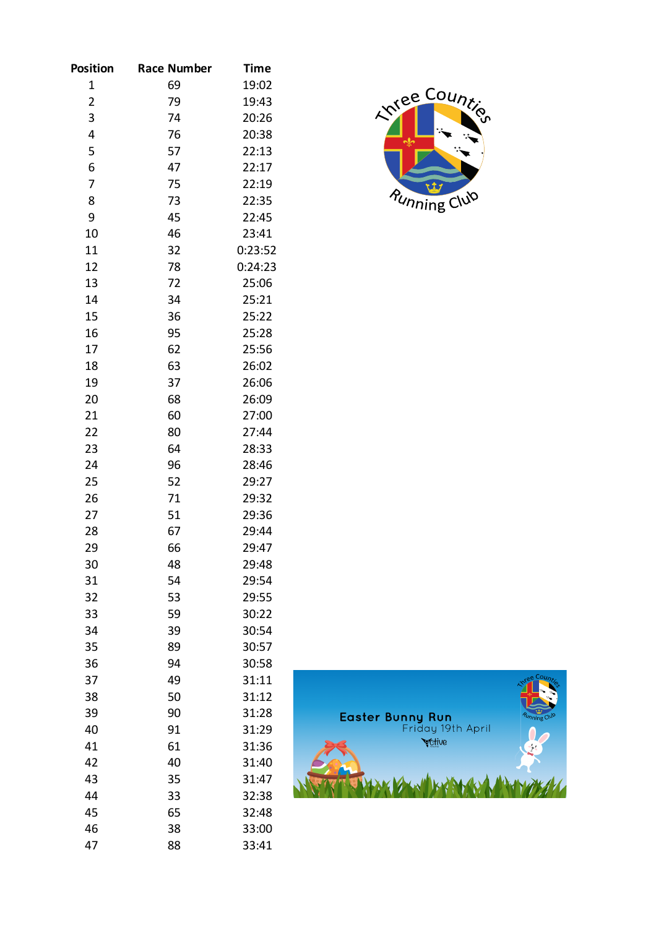| Position                | <b>Race Number</b> | Time    |
|-------------------------|--------------------|---------|
| 1                       | 69                 | 19:02   |
| $\overline{\mathbf{c}}$ | 79                 | 19:43   |
| 3                       | 74                 | 20:26   |
| 4                       | 76                 | 20:38   |
| 5                       | 57                 | 22:13   |
| 6                       | 47                 | 22:17   |
| 7                       | 75                 | 22:19   |
| 8                       | 73                 | 22:35   |
| 9                       | 45                 | 22:45   |
| 10                      | 46                 | 23:41   |
| 11                      | 32                 | 0:23:52 |
| 12                      | 78                 | 0:24:23 |
| 13                      | 72                 | 25:06   |
| 14                      | 34                 | 25:21   |
| 15                      | 36                 | 25:22   |
| 16                      | 95                 | 25:28   |
| 17                      | 62                 | 25:56   |
| 18                      | 63                 | 26:02   |
| 19                      | 37                 | 26:06   |
| 20                      | 68                 | 26:09   |
| 21                      | 60                 | 27:00   |
| 22                      | 80                 | 27:44   |
| 23                      | 64                 | 28:33   |
| 24                      | 96                 | 28:46   |
| 25                      | 52                 | 29:27   |
| 26                      | 71                 | 29:32   |
| 27                      | 51                 | 29:36   |
| 28                      | 67                 | 29:44   |
| 29                      | 66                 | 29:47   |
| 30                      | 48                 | 29:48   |
| 31                      | 54                 | 29:54   |
| 32                      | 53                 | 29:55   |
| 33                      | 59                 | 30:22   |
| 34                      | 39                 | 30:54   |
| 35                      | 89                 | 30:57   |
| 36                      | 94                 | 30:58   |
| 37                      | 49                 | 31:11   |
| 38                      | 50                 | 31:12   |
| 39                      | 90                 | 31:28   |
| 40                      | 91                 | 31:29   |
| 41                      | 61                 | 31:36   |
| 42                      | 40                 | 31:40   |
| 43                      | 35                 | 31:47   |
| 44                      | 33                 | 32:38   |
| 45                      | 65                 | 32:48   |
| 46                      | 38                 | 33:00   |
| 47                      | 88                 | 33:41   |